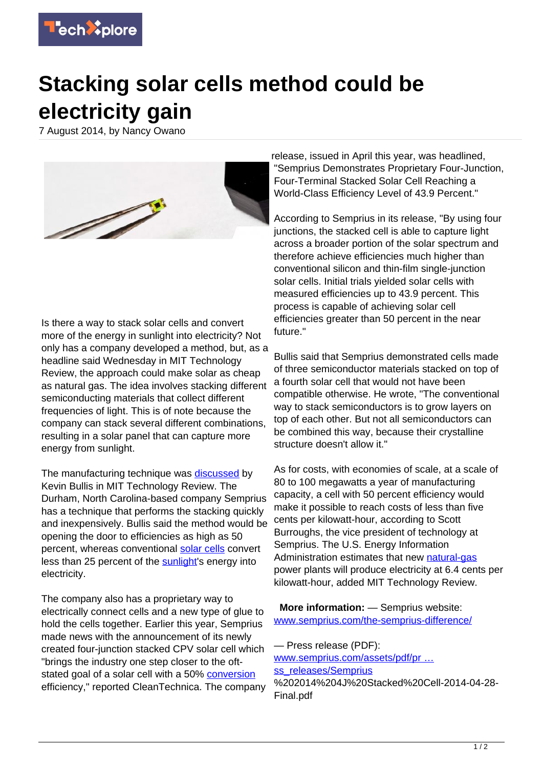

## **Stacking solar cells method could be electricity gain**

7 August 2014, by Nancy Owano



Is there a way to stack solar cells and convert more of the energy in sunlight into electricity? Not only has a company developed a method, but, as a headline said Wednesday in MIT Technology Review, the approach could make solar as cheap as natural gas. The idea involves stacking different semiconducting materials that collect different frequencies of light. This is of note because the company can stack several different combinations, resulting in a solar panel that can capture more energy from sunlight.

The manufacturing technique was [discussed](http://www.technologyreview.com/news/529651/stacking-cells-could-make-solar-as-cheap-as-natural-gas/) by Kevin Bullis in MIT Technology Review. The Durham, North Carolina-based company Semprius has a technique that performs the stacking quickly and inexpensively. Bullis said the method would be opening the door to efficiencies as high as 50 percent, whereas conventional [solar cells](https://techxplore.com/tags/solar+cells/) convert less than 25 percent of the [sunlight](https://techxplore.com/tags/sunlight/)'s energy into electricity.

The company also has a proprietary way to electrically connect cells and a new type of glue to hold the cells together. Earlier this year, Semprius made news with the announcement of its newly created four-junction stacked CPV solar cell which "brings the industry one step closer to the oftstated goal of a solar cell with a 50% [conversion](http://cleantechnica.com/2014/05/06/new-cpv-cell-brings-50-conversion-efficiency-closer-says-developer-semprius/) efficiency," reported CleanTechnica. The company

release, issued in April this year, was headlined, "Semprius Demonstrates Proprietary Four-Junction, Four-Terminal Stacked Solar Cell Reaching a World-Class Efficiency Level of 43.9 Percent."

According to Semprius in its release, "By using four junctions, the stacked cell is able to capture light across a broader portion of the solar spectrum and therefore achieve efficiencies much higher than conventional silicon and thin-film single-junction solar cells. Initial trials yielded solar cells with measured efficiencies up to 43.9 percent. This process is capable of achieving solar cell efficiencies greater than 50 percent in the near future."

Bullis said that Semprius demonstrated cells made of three semiconductor materials stacked on top of a fourth solar cell that would not have been compatible otherwise. He wrote, "The conventional way to stack semiconductors is to grow layers on top of each other. But not all semiconductors can be combined this way, because their crystalline structure doesn't allow it."

As for costs, with economies of scale, at a scale of 80 to 100 megawatts a year of manufacturing capacity, a cell with 50 percent efficiency would make it possible to reach costs of less than five cents per kilowatt-hour, according to Scott Burroughs, the vice president of technology at Semprius. The U.S. Energy Information Administration estimates that new [natural-gas](https://techxplore.com/tags/natural+gas/) power plants will produce electricity at 6.4 cents per kilowatt-hour, added MIT Technology Review.

 **More information:** — Semprius website: [www.semprius.com/the-semprius-difference/](http://www.semprius.com/the-semprius-difference/)

— Press release (PDF): [www.semprius.com/assets/pdf/pr …](http://www.semprius.com/assets/pdf/press_releases/Semprius) [ss\\_releases/Semprius](http://www.semprius.com/assets/pdf/press_releases/Semprius) %202014%204J%20Stacked%20Cell-2014-04-28- Final.pdf